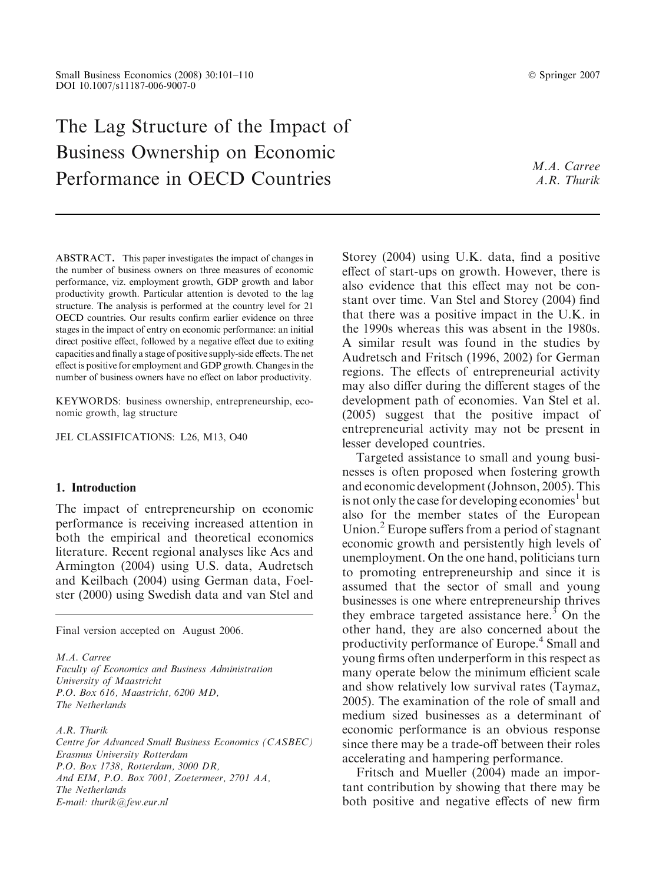# The Lag Structure of the Impact of Business Ownership on Economic Performance in OECD Countries

ABSTRACT. This paper investigates the impact of changes in the number of business owners on three measures of economic performance, viz. employment growth, GDP growth and labor productivity growth. Particular attention is devoted to the lag structure. The analysis is performed at the country level for 21 OECD countries. Our results confirm earlier evidence on three stages in the impact of entry on economic performance: an initial direct positive effect, followed by a negative effect due to exiting capacities and finally a stage of positive supply-side effects. The net effect is positive for employment and GDP growth. Changes in the number of business owners have no effect on labor productivity.

KEYWORDS: business ownership, entrepreneurship, economic growth, lag structure

JEL CLASSIFICATIONS: L26, M13, O40

# 1. Introduction

The impact of entrepreneurship on economic performance is receiving increased attention in both the empirical and theoretical economics literature. Recent regional analyses like Acs and Armington (2004) using U.S. data, Audretsch and Keilbach (2004) using German data, Foelster (2000) using Swedish data and van Stel and

Final version accepted on August 2006.

M.A. Carree Faculty of Economics and Business Administration University of Maastricht P.O. Box 616, Maastricht, 6200 MD, The Netherlands

A.R. Thurik Centre for Advanced Small Business Economics (CASBEC) Erasmus University Rotterdam P.O. Box 1738, Rotterdam, 3000 DR, And EIM, P.O. Box 7001, Zoetermeer, 2701 AA, The Netherlands E-mail: thurik@few.eur.nl

M.A. Carree A.R. Thurik

Storey (2004) using U.K. data, find a positive effect of start-ups on growth. However, there is also evidence that this effect may not be constant over time. Van Stel and Storey (2004) find that there was a positive impact in the U.K. in the 1990s whereas this was absent in the 1980s. A similar result was found in the studies by Audretsch and Fritsch (1996, 2002) for German regions. The effects of entrepreneurial activity may also differ during the different stages of the development path of economies. Van Stel et al. (2005) suggest that the positive impact of entrepreneurial activity may not be present in lesser developed countries.

Targeted assistance to small and young businesses is often proposed when fostering growth and economic development (Johnson, 2005). This is not only the case for developing economies<sup>1</sup> but also for the member states of the European Union.<sup>2</sup> Europe suffers from a period of stagnant economic growth and persistently high levels of unemployment. On the one hand, politicians turn to promoting entrepreneurship and since it is assumed that the sector of small and young businesses is one where entrepreneurship thrives they embrace targeted assistance here.<sup>3</sup> On the other hand, they are also concerned about the productivity performance of Europe.<sup>4</sup> Small and young firms often underperform in this respect as many operate below the minimum efficient scale and show relatively low survival rates (Taymaz, 2005). The examination of the role of small and medium sized businesses as a determinant of economic performance is an obvious response since there may be a trade-off between their roles accelerating and hampering performance.

Fritsch and Mueller (2004) made an important contribution by showing that there may be both positive and negative effects of new firm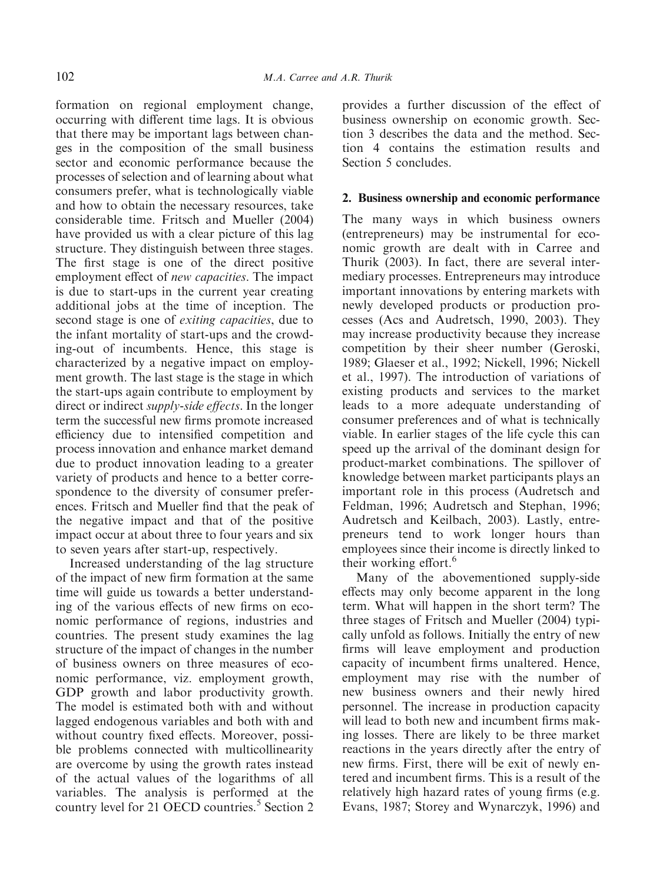formation on regional employment change, occurring with different time lags. It is obvious that there may be important lags between changes in the composition of the small business sector and economic performance because the processes of selection and of learning about what consumers prefer, what is technologically viable and how to obtain the necessary resources, take considerable time. Fritsch and Mueller (2004) have provided us with a clear picture of this lag structure. They distinguish between three stages. The first stage is one of the direct positive employment effect of new capacities. The impact is due to start-ups in the current year creating additional jobs at the time of inception. The second stage is one of exiting capacities, due to the infant mortality of start-ups and the crowding-out of incumbents. Hence, this stage is characterized by a negative impact on employment growth. The last stage is the stage in which the start-ups again contribute to employment by direct or indirect *supply-side effects*. In the longer term the successful new firms promote increased efficiency due to intensified competition and process innovation and enhance market demand due to product innovation leading to a greater variety of products and hence to a better correspondence to the diversity of consumer preferences. Fritsch and Mueller find that the peak of the negative impact and that of the positive impact occur at about three to four years and six to seven years after start-up, respectively.

Increased understanding of the lag structure of the impact of new firm formation at the same time will guide us towards a better understanding of the various effects of new firms on economic performance of regions, industries and countries. The present study examines the lag structure of the impact of changes in the number of business owners on three measures of economic performance, viz. employment growth, GDP growth and labor productivity growth. The model is estimated both with and without lagged endogenous variables and both with and without country fixed effects. Moreover, possible problems connected with multicollinearity are overcome by using the growth rates instead of the actual values of the logarithms of all variables. The analysis is performed at the country level for 21 OECD countries.<sup>5</sup> Section 2

provides a further discussion of the effect of business ownership on economic growth. Section 3 describes the data and the method. Section 4 contains the estimation results and Section 5 concludes.

# 2. Business ownership and economic performance

The many ways in which business owners (entrepreneurs) may be instrumental for economic growth are dealt with in Carree and Thurik (2003). In fact, there are several intermediary processes. Entrepreneurs may introduce important innovations by entering markets with newly developed products or production processes (Acs and Audretsch, 1990, 2003). They may increase productivity because they increase competition by their sheer number (Geroski, 1989; Glaeser et al., 1992; Nickell, 1996; Nickell et al., 1997). The introduction of variations of existing products and services to the market leads to a more adequate understanding of consumer preferences and of what is technically viable. In earlier stages of the life cycle this can speed up the arrival of the dominant design for product-market combinations. The spillover of knowledge between market participants plays an important role in this process (Audretsch and Feldman, 1996; Audretsch and Stephan, 1996; Audretsch and Keilbach, 2003). Lastly, entrepreneurs tend to work longer hours than employees since their income is directly linked to their working effort.<sup>6</sup>

Many of the abovementioned supply-side effects may only become apparent in the long term. What will happen in the short term? The three stages of Fritsch and Mueller (2004) typically unfold as follows. Initially the entry of new firms will leave employment and production capacity of incumbent firms unaltered. Hence, employment may rise with the number of new business owners and their newly hired personnel. The increase in production capacity will lead to both new and incumbent firms making losses. There are likely to be three market reactions in the years directly after the entry of new firms. First, there will be exit of newly entered and incumbent firms. This is a result of the relatively high hazard rates of young firms (e.g. Evans, 1987; Storey and Wynarczyk, 1996) and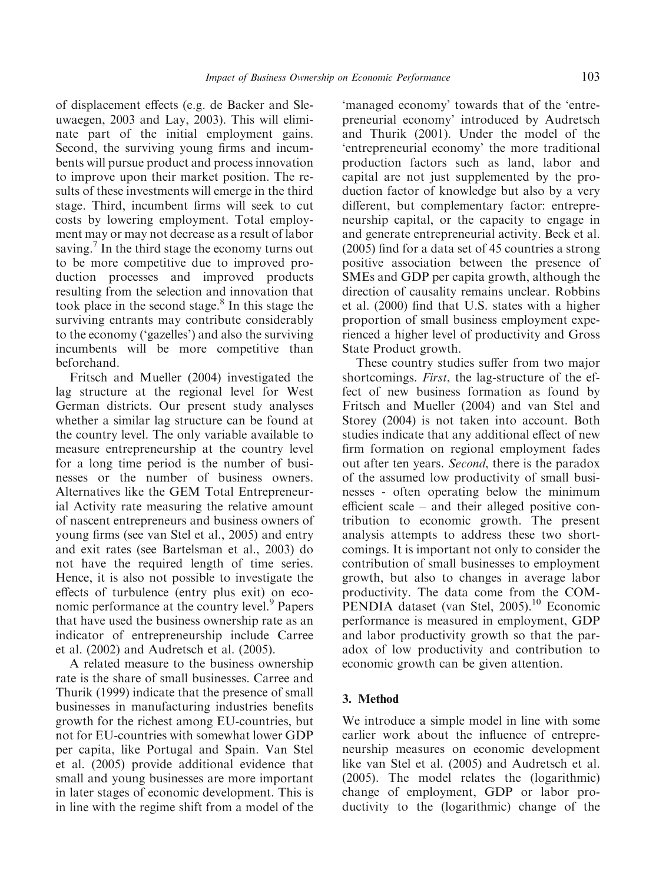of displacement effects (e.g. de Backer and Sleuwaegen, 2003 and Lay, 2003). This will eliminate part of the initial employment gains. Second, the surviving young firms and incumbents will pursue product and process innovation to improve upon their market position. The results of these investments will emerge in the third stage. Third, incumbent firms will seek to cut costs by lowering employment. Total employment may or may not decrease as a result of labor saving.<sup>7</sup> In the third stage the economy turns out to be more competitive due to improved production processes and improved products resulting from the selection and innovation that took place in the second stage. $8$  In this stage the surviving entrants may contribute considerably to the economy ('gazelles') and also the surviving incumbents will be more competitive than beforehand.

Fritsch and Mueller (2004) investigated the lag structure at the regional level for West German districts. Our present study analyses whether a similar lag structure can be found at the country level. The only variable available to measure entrepreneurship at the country level for a long time period is the number of businesses or the number of business owners. Alternatives like the GEM Total Entrepreneurial Activity rate measuring the relative amount of nascent entrepreneurs and business owners of young firms (see van Stel et al., 2005) and entry and exit rates (see Bartelsman et al., 2003) do not have the required length of time series. Hence, it is also not possible to investigate the effects of turbulence (entry plus exit) on economic performance at the country level.<sup>9</sup> Papers that have used the business ownership rate as an indicator of entrepreneurship include Carree et al. (2002) and Audretsch et al. (2005).

A related measure to the business ownership rate is the share of small businesses. Carree and Thurik (1999) indicate that the presence of small businesses in manufacturing industries benefits growth for the richest among EU-countries, but not for EU-countries with somewhat lower GDP per capita, like Portugal and Spain. Van Stel et al. (2005) provide additional evidence that small and young businesses are more important in later stages of economic development. This is in line with the regime shift from a model of the

'managed economy' towards that of the 'entrepreneurial economy' introduced by Audretsch and Thurik (2001). Under the model of the 'entrepreneurial economy' the more traditional production factors such as land, labor and capital are not just supplemented by the production factor of knowledge but also by a very different, but complementary factor: entrepreneurship capital, or the capacity to engage in and generate entrepreneurial activity. Beck et al. (2005) find for a data set of 45 countries a strong positive association between the presence of SMEs and GDP per capita growth, although the direction of causality remains unclear. Robbins et al. (2000) find that U.S. states with a higher proportion of small business employment experienced a higher level of productivity and Gross State Product growth.

These country studies suffer from two major shortcomings. First, the lag-structure of the effect of new business formation as found by Fritsch and Mueller (2004) and van Stel and Storey (2004) is not taken into account. Both studies indicate that any additional effect of new firm formation on regional employment fades out after ten years. Second, there is the paradox of the assumed low productivity of small businesses - often operating below the minimum efficient scale – and their alleged positive contribution to economic growth. The present analysis attempts to address these two shortcomings. It is important not only to consider the contribution of small businesses to employment growth, but also to changes in average labor productivity. The data come from the COM-PENDIA dataset (van Stel, 2005).<sup>10</sup> Economic performance is measured in employment, GDP and labor productivity growth so that the paradox of low productivity and contribution to economic growth can be given attention.

# 3. Method

We introduce a simple model in line with some earlier work about the influence of entrepreneurship measures on economic development like van Stel et al. (2005) and Audretsch et al. (2005). The model relates the (logarithmic) change of employment, GDP or labor productivity to the (logarithmic) change of the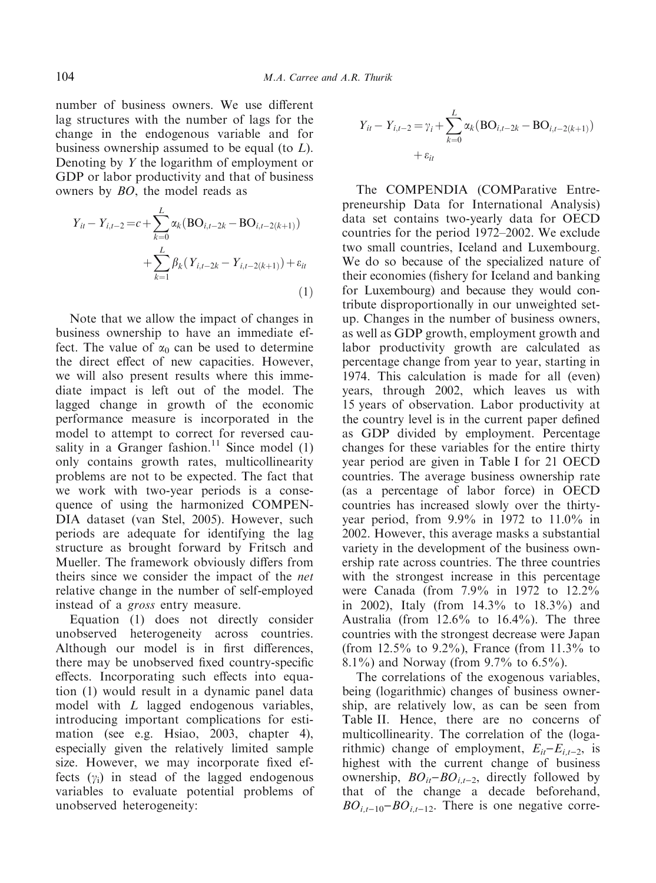number of business owners. We use different lag structures with the number of lags for the change in the endogenous variable and for business ownership assumed to be equal (to L). Denoting by Y the logarithm of employment or GDP or labor productivity and that of business owners by BO, the model reads as

$$
Y_{it} - Y_{i,t-2} = c + \sum_{k=0}^{L} \alpha_k (\text{BO}_{i,t-2k} - \text{BO}_{i,t-2(k+1)})
$$
  
+ 
$$
\sum_{k=1}^{L} \beta_k (Y_{i,t-2k} - Y_{i,t-2(k+1)}) + \varepsilon_{it}
$$
  
(1)

Note that we allow the impact of changes in business ownership to have an immediate effect. The value of  $\alpha_0$  can be used to determine the direct effect of new capacities. However, we will also present results where this immediate impact is left out of the model. The lagged change in growth of the economic performance measure is incorporated in the model to attempt to correct for reversed causality in a Granger fashion.<sup>11</sup> Since model  $(1)$ only contains growth rates, multicollinearity problems are not to be expected. The fact that we work with two-year periods is a consequence of using the harmonized COMPEN-DIA dataset (van Stel, 2005). However, such periods are adequate for identifying the lag structure as brought forward by Fritsch and Mueller. The framework obviously differs from theirs since we consider the impact of the net relative change in the number of self-employed instead of a gross entry measure.

Equation (1) does not directly consider unobserved heterogeneity across countries. Although our model is in first differences, there may be unobserved fixed country-specific effects. Incorporating such effects into equation (1) would result in a dynamic panel data model with L lagged endogenous variables, introducing important complications for estimation (see e.g. Hsiao, 2003, chapter 4), especially given the relatively limited sample size. However, we may incorporate fixed effects  $(y_i)$  in stead of the lagged endogenous variables to evaluate potential problems of unobserved heterogeneity:

$$
Y_{it} - Y_{i,t-2} = \gamma_i + \sum_{k=0}^{L} \alpha_k (BO_{i,t-2k} - BO_{i,t-2(k+1)}) + \varepsilon_{it}
$$

The COMPENDIA (COMParative Entrepreneurship Data for International Analysis) data set contains two-yearly data for OECD countries for the period 1972–2002. We exclude two small countries, Iceland and Luxembourg. We do so because of the specialized nature of their economies (fishery for Iceland and banking for Luxembourg) and because they would contribute disproportionally in our unweighted setup. Changes in the number of business owners, as well as GDP growth, employment growth and labor productivity growth are calculated as percentage change from year to year, starting in 1974. This calculation is made for all (even) years, through 2002, which leaves us with 15 years of observation. Labor productivity at the country level is in the current paper defined as GDP divided by employment. Percentage changes for these variables for the entire thirty year period are given in Table I for 21 OECD countries. The average business ownership rate (as a percentage of labor force) in OECD countries has increased slowly over the thirtyyear period, from 9.9% in 1972 to 11.0% in 2002. However, this average masks a substantial variety in the development of the business ownership rate across countries. The three countries with the strongest increase in this percentage were Canada (from 7.9% in 1972 to 12.2% in 2002), Italy (from 14.3% to 18.3%) and Australia (from 12.6% to 16.4%). The three countries with the strongest decrease were Japan (from 12.5% to 9.2%), France (from 11.3% to 8.1%) and Norway (from 9.7% to 6.5%).

The correlations of the exogenous variables, being (logarithmic) changes of business ownership, are relatively low, as can be seen from Table II. Hence, there are no concerns of multicollinearity. The correlation of the (logarithmic) change of employment,  $E_{it}-E_{i,t-2}$ , is highest with the current change of business ownership,  $BO_{it} - BO_{i,t-2}$ , directly followed by that of the change a decade beforehand,  $BO_{i,t-10} - BO_{i,t-12}$ . There is one negative corre-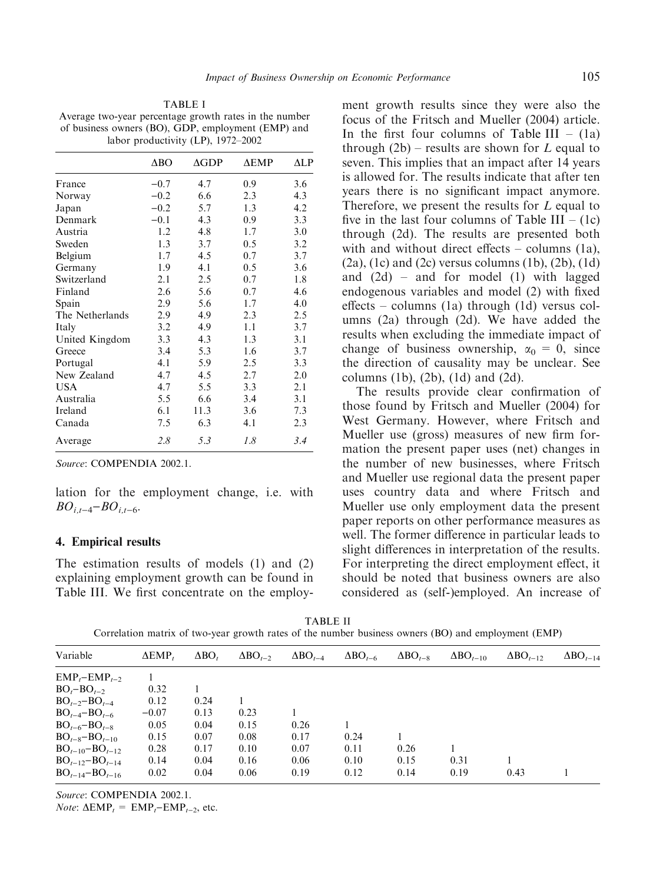TABLE I Average two-year percentage growth rates in the number of business owners (BO), GDP, employment (EMP) and labor productivity (LP), 1972–2002

|                 | ΔВО    | $\triangle GDP$ | $\triangle EMP$ | $\Delta LP$ |
|-----------------|--------|-----------------|-----------------|-------------|
| France          | $-0.7$ | 4.7             | 0.9             | 3.6         |
| Norway          | $-0.2$ | 6.6             | 2.3             | 4.3         |
| Japan           | $-0.2$ | 5.7             | 1.3             | 4.2         |
| Denmark         | $-0.1$ | 4.3             | 0.9             | 3.3         |
| Austria         | 1.2    | 4.8             | 1.7             | 3.0         |
| Sweden          | 1.3    | 3.7             | 0.5             | 3.2         |
| Belgium         | 1.7    | 4.5             | 0.7             | 3.7         |
| Germany         | 1.9    | 4.1             | 0.5             | 3.6         |
| Switzerland     | 2.1    | 2.5             | 0.7             | 1.8         |
| Finland         | 2.6    | 5.6             | 0.7             | 4.6         |
| Spain           | 2.9    | 5.6             | 1.7             | 4.0         |
| The Netherlands | 2.9    | 4.9             | 2.3             | 2.5         |
| Italy           | 3.2    | 4.9             | 1.1             | 3.7         |
| United Kingdom  | 3.3    | 4.3             | 1.3             | 3.1         |
| Greece          | 3.4    | 5.3             | 1.6             | 3.7         |
| Portugal        | 4.1    | 5.9             | 2.5             | 3.3         |
| New Zealand     | 4.7    | 4.5             | 2.7             | 2.0         |
| USA             | 4.7    | 5.5             | 3.3             | 2.1         |
| Australia       | 5.5    | 6.6             | 3.4             | 3.1         |
| Ireland         | 6.1    | 11.3            | 3.6             | 7.3         |
| Canada          | 7.5    | 6.3             | 4.1             | 2.3         |
| Average         | 2.8    | 5.3             | 1.8             | 3.4         |

Source: COMPENDIA 2002.1.

lation for the employment change, i.e. with  $BO_{i,t-4} - BO_{i,t-6}.$ 

# 4. Empirical results

The estimation results of models (1) and (2) explaining employment growth can be found in Table III. We first concentrate on the employment growth results since they were also the focus of the Fritsch and Mueller (2004) article. In the first four columns of Table III –  $(1a)$ through  $(2b)$  – results are shown for L equal to seven. This implies that an impact after 14 years is allowed for. The results indicate that after ten years there is no significant impact anymore. Therefore, we present the results for  $L$  equal to five in the last four columns of Table III –  $(1c)$ through (2d). The results are presented both with and without direct effects – columns (1a),  $(2a)$ ,  $(1c)$  and  $(2c)$  versus columns  $(1b)$ ,  $(2b)$ ,  $(1d)$ and  $(2d)$  – and for model  $(1)$  with lagged endogenous variables and model (2) with fixed effects – columns (1a) through (1d) versus columns (2a) through (2d). We have added the results when excluding the immediate impact of change of business ownership,  $\alpha_0 = 0$ , since the direction of causality may be unclear. See columns (1b), (2b), (1d) and (2d).

The results provide clear confirmation of those found by Fritsch and Mueller (2004) for West Germany. However, where Fritsch and Mueller use (gross) measures of new firm formation the present paper uses (net) changes in the number of new businesses, where Fritsch and Mueller use regional data the present paper uses country data and where Fritsch and Mueller use only employment data the present paper reports on other performance measures as well. The former difference in particular leads to slight differences in interpretation of the results. For interpreting the direct employment effect, it should be noted that business owners are also considered as (self-)employed. An increase of

| <b>TABLE II</b>                                                                                     |
|-----------------------------------------------------------------------------------------------------|
| Correlation matrix of two-year growth rates of the number business owners (BO) and employment (EMP) |

| Variable                | $\Delta EMP$ | $\Delta BO_r$ | $\Delta BO_{t-2}$ | $\Delta BO_{t-4}$ | $\Delta BO_{t-6}$ | $\Delta BO_{t-8}$ | $\Delta BO_{t-10}$ | $\Delta BO_{t-12}$ | $\Delta BO_{t-14}$ |
|-------------------------|--------------|---------------|-------------------|-------------------|-------------------|-------------------|--------------------|--------------------|--------------------|
| $EMPt-EMPt-2$           |              |               |                   |                   |                   |                   |                    |                    |                    |
| $BOr-BOr-2$             | 0.32         |               |                   |                   |                   |                   |                    |                    |                    |
| $BO_{t-2} - BO_{t-4}$   | 0.12         | 0.24          |                   |                   |                   |                   |                    |                    |                    |
| $BO_{t-4} - BO_{t-6}$   | $-0.07$      | 0.13          | 0.23              |                   |                   |                   |                    |                    |                    |
| $BO_{t-6} - BO_{t-8}$   | 0.05         | 0.04          | 0.15              | 0.26              |                   |                   |                    |                    |                    |
| $BO_{t-8} - BO_{t-10}$  | 0.15         | 0.07          | 0.08              | 0.17              | 0.24              |                   |                    |                    |                    |
| $BO_{t-10} - BO_{t-12}$ | 0.28         | 0.17          | 0.10              | 0.07              | 0.11              | 0.26              |                    |                    |                    |
| $BO_{t-12} - BO_{t-14}$ | 0.14         | 0.04          | 0.16              | 0.06              | 0.10              | 0.15              | 0.31               |                    |                    |
| $BO_{t-14} - BO_{t-16}$ | 0.02         | 0.04          | 0.06              | 0.19              | 0.12              | 0.14              | 0.19               | 0.43               |                    |

Source: COMPENDIA 2002.1.

*Note*:  $\Delta EMP_t = EMP_t - EMP_{t-2}$ , etc.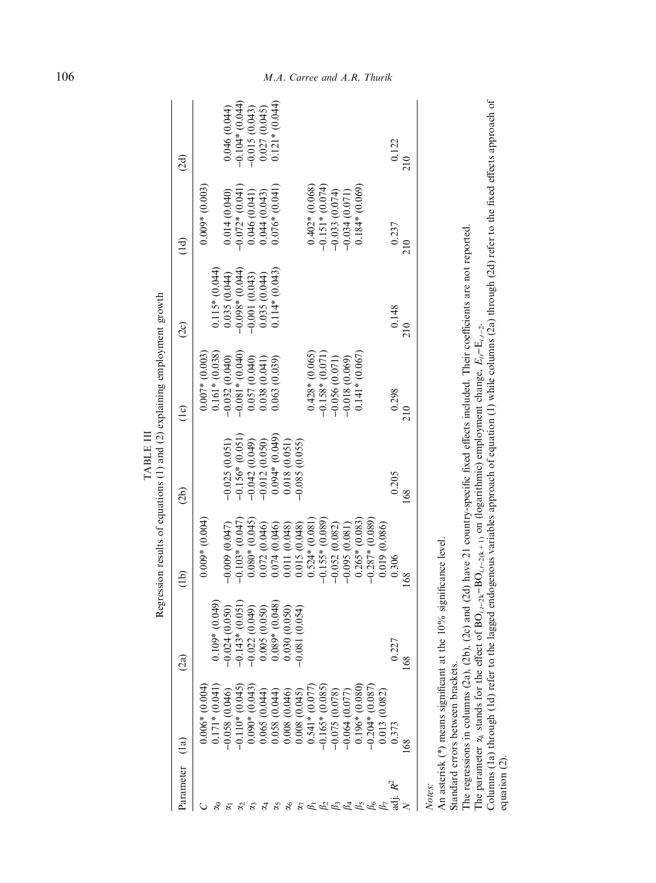| Parameter (1a) |                                                                                                                                                                                                                                                                                            | $\widehat{C}$ a)                                                                                                                                                                                                                                                                                                 | $\left( \frac{1}{10} \right)$                                     | (2b)                               | $\overline{c}$                     | (2c)                                                 | $\widehat{\mathcal{L}}$            | $\widehat{\mathbb{C}}$                                |
|----------------|--------------------------------------------------------------------------------------------------------------------------------------------------------------------------------------------------------------------------------------------------------------------------------------------|------------------------------------------------------------------------------------------------------------------------------------------------------------------------------------------------------------------------------------------------------------------------------------------------------------------|-------------------------------------------------------------------|------------------------------------|------------------------------------|------------------------------------------------------|------------------------------------|-------------------------------------------------------|
|                | $0.006*(0.004)$                                                                                                                                                                                                                                                                            |                                                                                                                                                                                                                                                                                                                  | $0.009*(0.004)$                                                   |                                    | $0.007*$ (0.003)                   |                                                      | $0.009*(0.003)$                    |                                                       |
|                |                                                                                                                                                                                                                                                                                            | (0.049)                                                                                                                                                                                                                                                                                                          |                                                                   |                                    | $0.161*(0.038)$                    | $0.115*(0.044)$                                      |                                    |                                                       |
|                |                                                                                                                                                                                                                                                                                            | (0.050)                                                                                                                                                                                                                                                                                                          | (0.009)(0.047)                                                    | $-0.025(0.051)$                    | $-0.032(0.040)$                    | 0.035(0.044)                                         | 0.014(0.040)                       | 0.046(0.044)                                          |
|                |                                                                                                                                                                                                                                                                                            | (0.051)                                                                                                                                                                                                                                                                                                          | $-0.103*(0.047)$                                                  | $0.156*(0.051)$                    | $-0.081*(0.040)$                   |                                                      | $-0.072*(0.041)$                   |                                                       |
|                |                                                                                                                                                                                                                                                                                            | (6.049)                                                                                                                                                                                                                                                                                                          | $0.080*(0.045)$                                                   |                                    | 0.057(0.040)                       |                                                      |                                    |                                                       |
|                |                                                                                                                                                                                                                                                                                            | (0.050)                                                                                                                                                                                                                                                                                                          | 0.072 (0.046)                                                     | $-0.042(0.049)$<br>$-0.012(0.050)$ | 0.038(0.041)                       | $-0.098*(0.044)$<br>$-0.001(0.043)$<br>0.035 (0.044) | $0.046(0.041)$<br>$0.044(0.043)$   | $-0.104*(0.044)$<br>$-0.015(0.043)$<br>$0.027(0.045)$ |
|                | $\begin{array}{l} 0.171* (0.041) \\ -0.058 (0.046) \\ -0.10* (0.043) \\ 0.090* (0.044) \\ 0.065 (0.044) \\ 0.065 (0.044) \\ 0.068 (0.044) \\ 0.088 (0.045) \\ 0.008 (0.045) \\ 0.008 (0.045) \\ 0.008 (0.045) \\ -0.075 (0.077) \\ -0.075 (0.077) \\ -0.074 * (0.080) \\ -0.204 * (0.087)$ | (0.048)<br>$\begin{array}{l} 0.109* \\ 0.024 \ 0 \\ 0.024 \ 0 \\ 0.022 \ 0 \\ 0.005 \ 0 \\ 0.000 \ 0 \\ 0.000 \ 0 \\ 0.000 \ 0 \\ 0.000 \ 0 \\ 0.000 \ 0 \\ 0.000 \ 0 \\ 0.000 \ 0 \\ 0.000 \ 0 \\ 0.000 \ 0 \\ 0.000 \ 0 \\ 0.000 \ 0 \\ 0.000 \ 0 \\ 0.000 \ 0 \\ 0.000 \ 0 \\ 0.000 \ 0 \\ 0.000 \ 0 \\ 0.00$ |                                                                   | $0.094*(0.049)$                    | 0.063 (0.039)                      | $0.114*(0.043)$                                      | $0.076*(0.041)$                    | $0.121*(0.044)$                                       |
|                |                                                                                                                                                                                                                                                                                            | (0.050)                                                                                                                                                                                                                                                                                                          | $\begin{array}{c} 0.074 \ (0.046) \\ 0.011 \ (0.048) \end{array}$ | 0.018(0.051)                       |                                    |                                                      |                                    |                                                       |
|                |                                                                                                                                                                                                                                                                                            | (0.054)                                                                                                                                                                                                                                                                                                          | 0.015(0.048)                                                      | 0.085(0.055)                       |                                    |                                                      |                                    |                                                       |
|                |                                                                                                                                                                                                                                                                                            |                                                                                                                                                                                                                                                                                                                  | $0.524*(0.081)$                                                   |                                    | $0.428*(0.065)$                    |                                                      | $0.402*(0.068)$                    |                                                       |
|                |                                                                                                                                                                                                                                                                                            |                                                                                                                                                                                                                                                                                                                  | $-0.155*(0.089)$                                                  |                                    | $-0.158*(0.071)$                   |                                                      | $-0.151*(0.074)$                   |                                                       |
|                |                                                                                                                                                                                                                                                                                            |                                                                                                                                                                                                                                                                                                                  | $-0.052(0.082)$                                                   |                                    |                                    |                                                      |                                    |                                                       |
|                |                                                                                                                                                                                                                                                                                            |                                                                                                                                                                                                                                                                                                                  | $-0.095(0.081)$                                                   |                                    | $-0.056(0.071)$<br>$-0.018(0.069)$ |                                                      | $-0.033(0.074)$<br>$-0.034(0.071)$ |                                                       |
|                |                                                                                                                                                                                                                                                                                            |                                                                                                                                                                                                                                                                                                                  | $0.265*(0.083)$                                                   |                                    | $0.141*(0.067)$                    |                                                      | $0.184*(0.069)$                    |                                                       |
|                |                                                                                                                                                                                                                                                                                            |                                                                                                                                                                                                                                                                                                                  | $-0.287*(0.089)$                                                  |                                    |                                    |                                                      |                                    |                                                       |
|                |                                                                                                                                                                                                                                                                                            |                                                                                                                                                                                                                                                                                                                  | 0.019 (0.086)                                                     |                                    |                                    |                                                      |                                    |                                                       |
|                | 0.373                                                                                                                                                                                                                                                                                      | 0.227                                                                                                                                                                                                                                                                                                            | 0.306                                                             | 0.205                              | 0.298                              | 0.148                                                | 0.237                              | 0.122                                                 |
|                |                                                                                                                                                                                                                                                                                            |                                                                                                                                                                                                                                                                                                                  |                                                                   | 168                                | 210                                | 210                                                  | 210                                | 210                                                   |
| Notes:         |                                                                                                                                                                                                                                                                                            |                                                                                                                                                                                                                                                                                                                  |                                                                   |                                    |                                    |                                                      |                                    |                                                       |

Regression results of equations (1) and (2) explaining employment growth Regression results of equations (1) and (2) explaining employment growth TABLE III TABLE III

An asterisk ( $*$ ) means significant at the 10% significance level. An asterisk (\*) means significant at the 10% significance level.

Standard errors between brackets. Standard errors between brackets.

The regressions in columns (2a), (2b), (2c) and (2d) have 21 country-specific fixed effects included. Their coefficients are not reported.

The parameter  $\alpha_k$  stands for the effect of BO $_{i,t-2k}$ –BO $_{i,t-2(k+1)}$  on (logarithmic) employment change,  $E_{it}-E_{i,t-2k}$ .

The regressions in columns (2a), (2b), (2c) and (2d) have 21 country-specific fixed effects included. Their coefficients are not reported.<br>The parameter  $\alpha_k$  stands for the effect of  $BO_{i,t-2k} - BO_{i,t-2(k+1)}$  on (logarithmic Columns (1a) through (1d) refer to the lagged endogenous variables approach of equation (1) while columns (2a) through (2d) refer to the fixed effects approach of equation (2). equation (2).

# 106 M.A. Carree and A.R. Thurik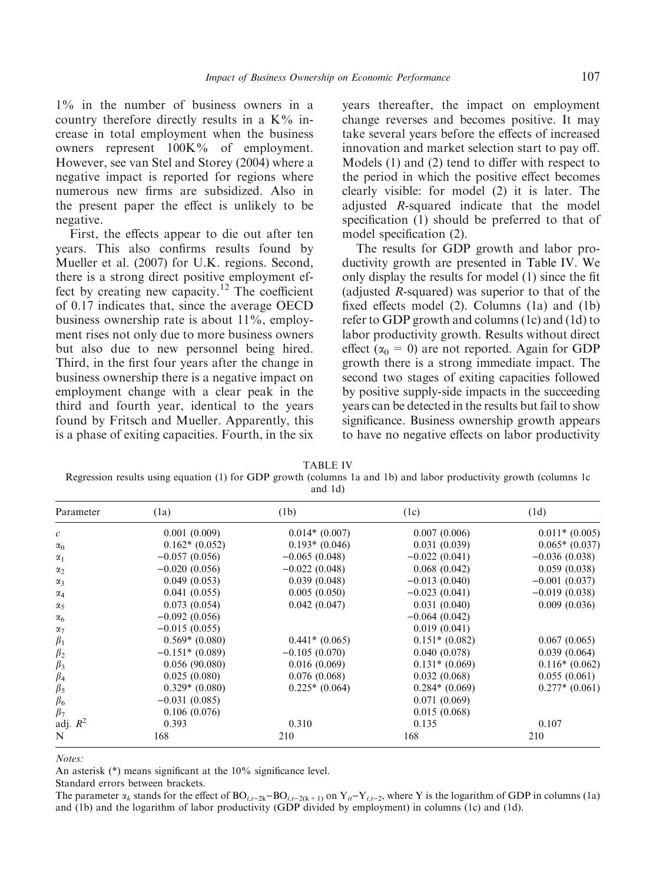1% in the number of business owners in a country therefore directly results in a  $K\%$  increase in total employment when the business owners represent 100K% of employment. However, see van Stel and Storey (2004) where a negative impact is reported for regions where numerous new firms are subsidized. Also in the present paper the effect is unlikely to be negative.

First, the effects appear to die out after ten years. This also confirms results found by Mueller et al. (2007) for U.K. regions. Second, there is a strong direct positive employment effect by creating new capacity.<sup>12</sup> The coefficient of 0.17 indicates that, since the average OECD business ownership rate is about 11%, employment rises not only due to more business owners but also due to new personnel being hired. Third, in the first four years after the change in business ownership there is a negative impact on employment change with a clear peak in the third and fourth year, identical to the years found by Fritsch and Mueller. Apparently, this is a phase of exiting capacities. Fourth, in the six

years thereafter, the impact on employment change reverses and becomes positive. It may take several years before the effects of increased innovation and market selection start to pay off. Models (1) and (2) tend to differ with respect to the period in which the positive effect becomes clearly visible: for model (2) it is later. The adjusted R-squared indicate that the model specification (1) should be preferred to that of model specification (2).

The results for GDP growth and labor productivity growth are presented in Table IV. We only display the results for model (1) since the fit (adjusted R-squared) was superior to that of the fixed effects model (2). Columns (1a) and (1b) refer to GDP growth and columns (1c) and (1d) to labor productivity growth. Results without direct effect ( $\alpha_0 = 0$ ) are not reported. Again for GDP growth there is a strong immediate impact. The second two stages of exiting capacities followed by positive supply-side impacts in the succeeding years can be detected in the results but fail to show significance. Business ownership growth appears to have no negative effects on labor productivity

TABLE IV Regression results using equation (1) for GDP growth (columns 1a and 1b) and labor productivity growth (columns 1c and 1d)

| Parameter                                         | (1a)             | (1b)            | (1c)            | (1d)             |
|---------------------------------------------------|------------------|-----------------|-----------------|------------------|
| $\mathcal{C}_{\mathcal{C}}$                       | 0.001(0.009)     | $0.014*(0.007)$ | 0.007(0.006)    | $0.011*(0.005)$  |
| $\alpha_0$                                        | $0.162*(0.052)$  | $0.193*(0.046)$ | 0.031(0.039)    | $0.065*$ (0.037) |
| $\alpha_1$                                        | $-0.057(0.056)$  | $-0.065(0.048)$ | $-0.022(0.041)$ | $-0.036(0.038)$  |
| $\alpha_{2}$                                      | $-0.020(0.056)$  | $-0.022(0.048)$ | 0.068(0.042)    | 0.059(0.038)     |
| $\alpha_3$                                        | 0.049(0.053)     | 0.039(0.048)    | $-0.013(0.040)$ | $-0.001(0.037)$  |
| $\alpha_4$                                        | 0.041(0.055)     | 0.005(0.050)    | $-0.023(0.041)$ | $-0.019(0.038)$  |
| $\alpha_{5}$                                      | 0.073(0.054)     | 0.042(0.047)    | 0.031(0.040)    | 0.009(0.036)     |
| $\alpha_6$                                        | $-0.092(0.056)$  |                 | $-0.064(0.042)$ |                  |
| $\alpha_{7}$                                      | $-0.015(0.055)$  |                 | 0.019(0.041)    |                  |
|                                                   | $0.569*(0.080)$  | $0.441*(0.065)$ | $0.151*(0.082)$ | 0.067(0.065)     |
| $\begin{array}{c} \beta_1 \\ \beta_2 \end{array}$ | $-0.151*(0.089)$ | $-0.105(0.070)$ | 0.040(0.078)    | 0.039(0.064)     |
|                                                   | 0.056(90.080)    | 0.016(0.069)    | $0.131*(0.069)$ | $0.116*(0.062)$  |
| $\beta_3$<br>$\beta_4$                            | 0.025(0.080)     | 0.076(0.068)    | 0.032(0.068)    | 0.055(0.061)     |
| $\beta_5$                                         | $0.329*(0.080)$  | $0.225*(0.064)$ | $0.284*(0.069)$ | $0.277*(0.061)$  |
| $\beta_6$                                         | $-0.031(0.085)$  |                 | 0.071(0.069)    |                  |
| $\beta_7$                                         | 0.106(0.076)     |                 | 0.015(0.068)    |                  |
| adj. $R^2$                                        | 0.393            | 0.310           | 0.135           | 0.107            |
| N                                                 | 168              | 210             | 168             | 210              |

Notes:

An asterisk (\*) means significant at the 10% significance level.

Standard errors between brackets.

The parameter  $\alpha_k$  stands for the effect of BO<sub>i,t-2k</sub>–BO<sub>i,t-2k</sub>+1) on Y<sub>it</sub>-Y<sub>i,t-2</sub>, where Y is the logarithm of GDP in columns (1a) and (1b) and the logarithm of labor productivity (GDP divided by employment) in columns (1c) and (1d).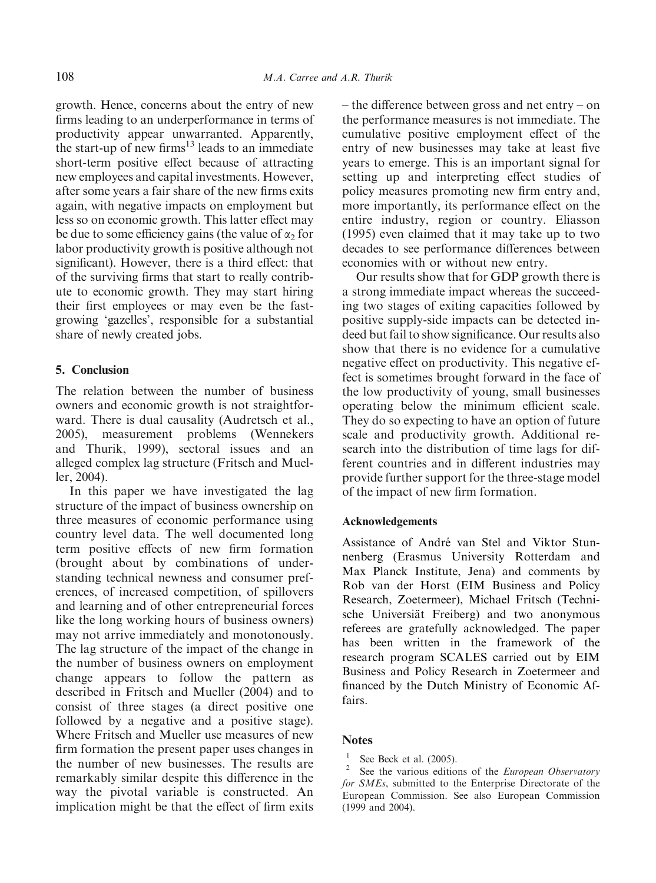growth. Hence, concerns about the entry of new firms leading to an underperformance in terms of productivity appear unwarranted. Apparently, the start-up of new firms<sup>13</sup> leads to an immediate short-term positive effect because of attracting new employees and capital investments. However, after some years a fair share of the new firms exits again, with negative impacts on employment but less so on economic growth. This latter effect may be due to some efficiency gains (the value of  $\alpha_2$  for labor productivity growth is positive although not significant). However, there is a third effect: that of the surviving firms that start to really contribute to economic growth. They may start hiring their first employees or may even be the fastgrowing 'gazelles', responsible for a substantial share of newly created jobs.

# 5. Conclusion

The relation between the number of business owners and economic growth is not straightforward. There is dual causality (Audretsch et al., 2005), measurement problems (Wennekers and Thurik, 1999), sectoral issues and an alleged complex lag structure (Fritsch and Mueller, 2004).

In this paper we have investigated the lag structure of the impact of business ownership on three measures of economic performance using country level data. The well documented long term positive effects of new firm formation (brought about by combinations of understanding technical newness and consumer preferences, of increased competition, of spillovers and learning and of other entrepreneurial forces like the long working hours of business owners) may not arrive immediately and monotonously. The lag structure of the impact of the change in the number of business owners on employment change appears to follow the pattern as described in Fritsch and Mueller (2004) and to consist of three stages (a direct positive one followed by a negative and a positive stage). Where Fritsch and Mueller use measures of new firm formation the present paper uses changes in the number of new businesses. The results are remarkably similar despite this difference in the way the pivotal variable is constructed. An implication might be that the effect of firm exits

– the difference between gross and net entry – on the performance measures is not immediate. The cumulative positive employment effect of the entry of new businesses may take at least five years to emerge. This is an important signal for setting up and interpreting effect studies of policy measures promoting new firm entry and, more importantly, its performance effect on the entire industry, region or country. Eliasson (1995) even claimed that it may take up to two decades to see performance differences between economies with or without new entry.

Our results show that for GDP growth there is a strong immediate impact whereas the succeeding two stages of exiting capacities followed by positive supply-side impacts can be detected indeed but fail to show significance. Our results also show that there is no evidence for a cumulative negative effect on productivity. This negative effect is sometimes brought forward in the face of the low productivity of young, small businesses operating below the minimum efficient scale. They do so expecting to have an option of future scale and productivity growth. Additional research into the distribution of time lags for different countries and in different industries may provide further support for the three-stage model of the impact of new firm formation.

### Acknowledgements

Assistance of André van Stel and Viktor Stunnenberg (Erasmus University Rotterdam and Max Planck Institute, Jena) and comments by Rob van der Horst (EIM Business and Policy Research, Zoetermeer), Michael Fritsch (Technische Universiät Freiberg) and two anonymous referees are gratefully acknowledged. The paper has been written in the framework of the research program SCALES carried out by EIM Business and Policy Research in Zoetermeer and financed by the Dutch Ministry of Economic Affairs.

### **Notes**

<sup>1</sup> See Beck et al. (2005).<br>
2 See the various editions of the *European Observatory* for SMEs, submitted to the Enterprise Directorate of the European Commission. See also European Commission (1999 and 2004).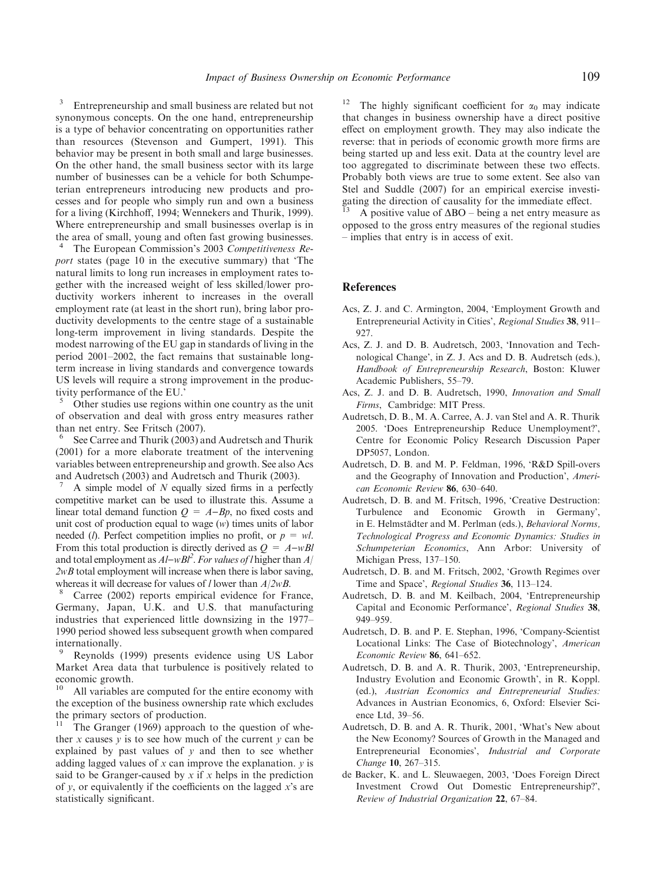<sup>3</sup> Entrepreneurship and small business are related but not synonymous concepts. On the one hand, entrepreneurship is a type of behavior concentrating on opportunities rather than resources (Stevenson and Gumpert, 1991). This behavior may be present in both small and large businesses. On the other hand, the small business sector with its large number of businesses can be a vehicle for both Schumpeterian entrepreneurs introducing new products and processes and for people who simply run and own a business for a living (Kirchhoff, 1994; Wennekers and Thurik, 1999). Where entrepreneurship and small businesses overlap is in the area of small, young and often fast growing businesses.

The European Commission's 2003 Competitiveness Report states (page 10 in the executive summary) that 'The natural limits to long run increases in employment rates together with the increased weight of less skilled/lower productivity workers inherent to increases in the overall employment rate (at least in the short run), bring labor productivity developments to the centre stage of a sustainable long-term improvement in living standards. Despite the modest narrowing of the EU gap in standards of living in the period 2001–2002, the fact remains that sustainable longterm increase in living standards and convergence towards US levels will require a strong improvement in the productivity performance of the EU.'

<sup>5</sup> Other studies use regions within one country as the unit of observation and deal with gross entry measures rather than net entry. See Fritsch (2007).

See Carree and Thurik (2003) and Audretsch and Thurik (2001) for a more elaborate treatment of the intervening variables between entrepreneurship and growth. See also Acs and Audretsch (2003) and Audretsch and Thurik (2003).

A simple model of  $N$  equally sized firms in a perfectly competitive market can be used to illustrate this. Assume a linear total demand function  $Q = A-Bp$ , no fixed costs and unit cost of production equal to wage  $(w)$  times units of labor needed (*l*). Perfect competition implies no profit, or  $p = w l$ . From this total production is directly derived as  $Q = A-wBl$ and total employment as  $Al-wBl^2$ . For values of l higher than  $A/$  $2wB$  total employment will increase when there is labor saving, whereas it will decrease for values of *l* lower than  $A/2wB$ .

Carree (2002) reports empirical evidence for France, Germany, Japan, U.K. and U.S. that manufacturing industries that experienced little downsizing in the 1977– 1990 period showed less subsequent growth when compared internationally.

<sup>9</sup> Reynolds (1999) presents evidence using US Labor Market Area data that turbulence is positively related to economic growth.

All variables are computed for the entire economy with the exception of the business ownership rate which excludes the primary sectors of production.

The Granger (1969) approach to the question of whether x causes  $y$  is to see how much of the current  $y$  can be explained by past values of  $y$  and then to see whether adding lagged values of  $x$  can improve the explanation.  $y$  is said to be Granger-caused by  $x$  if  $x$  helps in the prediction of  $y$ , or equivalently if the coefficients on the lagged  $x$ 's are statistically significant.

<sup>12</sup> The highly significant coefficient for  $\alpha_0$  may indicate that changes in business ownership have a direct positive effect on employment growth. They may also indicate the reverse: that in periods of economic growth more firms are being started up and less exit. Data at the country level are too aggregated to discriminate between these two effects. Probably both views are true to some extent. See also van Stel and Suddle (2007) for an empirical exercise investigating the direction of causality for the immediate effect.

A positive value of  $\Delta BO - being$  a net entry measure as opposed to the gross entry measures of the regional studies – implies that entry is in access of exit.

#### References

- Acs, Z. J. and C. Armington, 2004, 'Employment Growth and Entrepreneurial Activity in Cities', Regional Studies 38, 911– 927
- Acs, Z. J. and D. B. Audretsch, 2003, 'Innovation and Technological Change', in Z. J. Acs and D. B. Audretsch (eds.), Handbook of Entrepreneurship Research, Boston: Kluwer Academic Publishers, 55–79.
- Acs, Z. J. and D. B. Audretsch, 1990, Innovation and Small Firms, Cambridge: MIT Press.
- Audretsch, D. B., M. A. Carree, A. J. van Stel and A. R. Thurik 2005. 'Does Entrepreneurship Reduce Unemployment?', Centre for Economic Policy Research Discussion Paper DP5057, London.
- Audretsch, D. B. and M. P. Feldman, 1996, 'R&D Spill-overs and the Geography of Innovation and Production', American Economic Review 86, 630–640.
- Audretsch, D. B. and M. Fritsch, 1996, 'Creative Destruction: Turbulence and Economic Growth in Germany', in E. Helmstädter and M. Perlman (eds.), Behavioral Norms, Technological Progress and Economic Dynamics: Studies in Schumpeterian Economics, Ann Arbor: University of Michigan Press, 137–150.
- Audretsch, D. B. and M. Fritsch, 2002, 'Growth Regimes over Time and Space', Regional Studies 36, 113–124.
- Audretsch, D. B. and M. Keilbach, 2004, 'Entrepreneurship Capital and Economic Performance', Regional Studies 38, 949–959.
- Audretsch, D. B. and P. E. Stephan, 1996, 'Company-Scientist Locational Links: The Case of Biotechnology', American Economic Review 86, 641–652.
- Audretsch, D. B. and A. R. Thurik, 2003, 'Entrepreneurship, Industry Evolution and Economic Growth', in R. Koppl. (ed.), Austrian Economics and Entrepreneurial Studies: Advances in Austrian Economics, 6, Oxford: Elsevier Science Ltd, 39–56.
- Audretsch, D. B. and A. R. Thurik, 2001, 'What's New about the New Economy? Sources of Growth in the Managed and Entrepreneurial Economies', Industrial and Corporate Change 10, 267–315.
- de Backer, K. and L. Sleuwaegen, 2003, 'Does Foreign Direct Investment Crowd Out Domestic Entrepreneurship?', Review of Industrial Organization 22, 67–84.